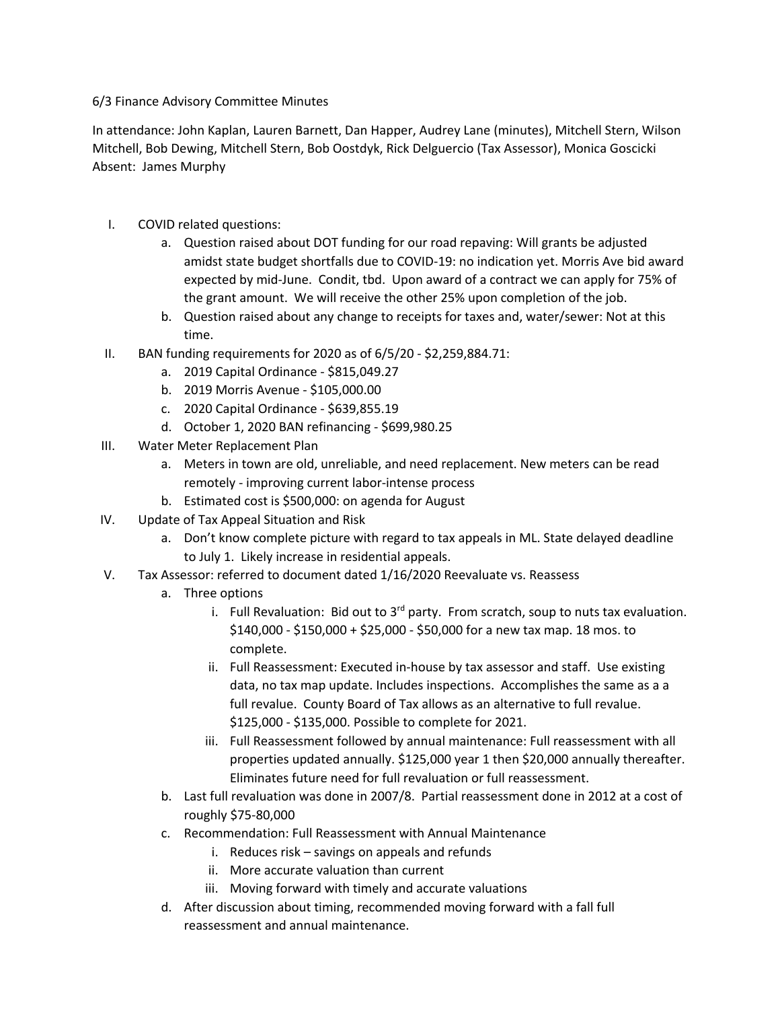## 6/3 Finance Advisory Committee Minutes

In attendance: John Kaplan, Lauren Barnett, Dan Happer, Audrey Lane (minutes), Mitchell Stern, Wilson Mitchell, Bob Dewing, Mitchell Stern, Bob Oostdyk, Rick Delguercio (Tax Assessor), Monica Goscicki Absent: James Murphy

- I. COVID related questions:
	- a. Question raised about DOT funding for our road repaving: Will grants be adjusted amidst state budget shortfalls due to COVID-19: no indication yet. Morris Ave bid award expected by mid-June. Condit, tbd. Upon award of a contract we can apply for 75% of the grant amount. We will receive the other 25% upon completion of the job.
	- b. Question raised about any change to receipts for taxes and, water/sewer: Not at this time.
- II. BAN funding requirements for 2020 as of 6/5/20 \$2,259,884.71:
	- a. 2019 Capital Ordinance \$815,049.27
	- b. 2019 Morris Avenue \$105,000.00
	- c. 2020 Capital Ordinance \$639,855.19
	- d. October 1, 2020 BAN refinancing \$699,980.25
- III. Water Meter Replacement Plan
	- a. Meters in town are old, unreliable, and need replacement. New meters can be read remotely - improving current labor-intense process
	- b. Estimated cost is \$500,000: on agenda for August
- IV. Update of Tax Appeal Situation and Risk
	- a. Don't know complete picture with regard to tax appeals in ML. State delayed deadline to July 1. Likely increase in residential appeals.
- V. Tax Assessor: referred to document dated 1/16/2020 Reevaluate vs. Reassess
	- a. Three options
		- i. Full Revaluation: Bid out to  $3<sup>rd</sup>$  party. From scratch, soup to nuts tax evaluation. \$140,000 - \$150,000 + \$25,000 - \$50,000 for a new tax map. 18 mos. to complete.
		- ii. Full Reassessment: Executed in-house by tax assessor and staff. Use existing data, no tax map update. Includes inspections. Accomplishes the same as a a full revalue. County Board of Tax allows as an alternative to full revalue. \$125,000 - \$135,000. Possible to complete for 2021.
		- iii. Full Reassessment followed by annual maintenance: Full reassessment with all properties updated annually. \$125,000 year 1 then \$20,000 annually thereafter. Eliminates future need for full revaluation or full reassessment.
	- b. Last full revaluation was done in 2007/8. Partial reassessment done in 2012 at a cost of roughly \$75-80,000
	- c. Recommendation: Full Reassessment with Annual Maintenance
		- i. Reduces risk savings on appeals and refunds
		- ii. More accurate valuation than current
		- iii. Moving forward with timely and accurate valuations
	- d. After discussion about timing, recommended moving forward with a fall full reassessment and annual maintenance.